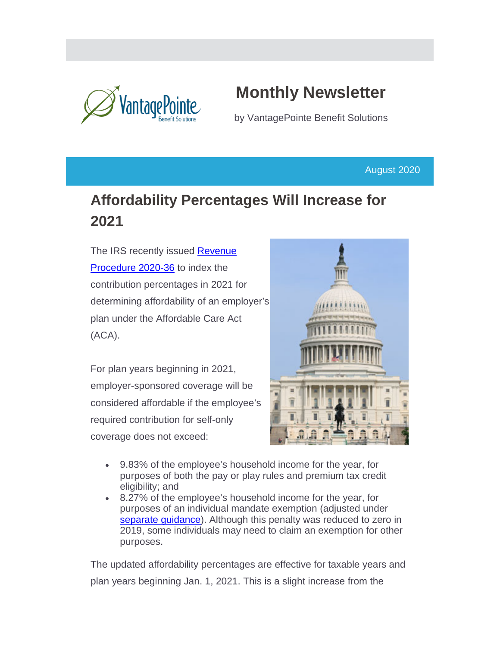

# **Monthly Newsletter**

by VantagePointe Benefit Solutions

August 2020

## **Affordability Percentages Will Increase for 2021**

The IRS recently issued Revenue [Procedure 2020-36](https://www.irs.gov/pub/irs-drop/rp-20-36.pdf) to index the contribution percentages in 2021 for determining affordability of an employer's plan under the Affordable Care Act (ACA).

For plan years beginning in 2021, employer-sponsored coverage will be considered affordable if the employee's required contribution for self-only coverage does not exceed:



- 9.83% of the employee's household income for the year, for purposes of both the pay or play rules and premium tax credit eligibility; and
- 8.27% of the employee's household income for the year, for purposes of an individual mandate exemption (adjusted under [separate guidance\)](https://www.govinfo.gov/content/pkg/FR-2020-05-14/pdf/2020-10045.pdf). Although this penalty was reduced to zero in 2019, some individuals may need to claim an exemption for other purposes.

The updated affordability percentages are effective for taxable years and plan years beginning Jan. 1, 2021. This is a slight increase from the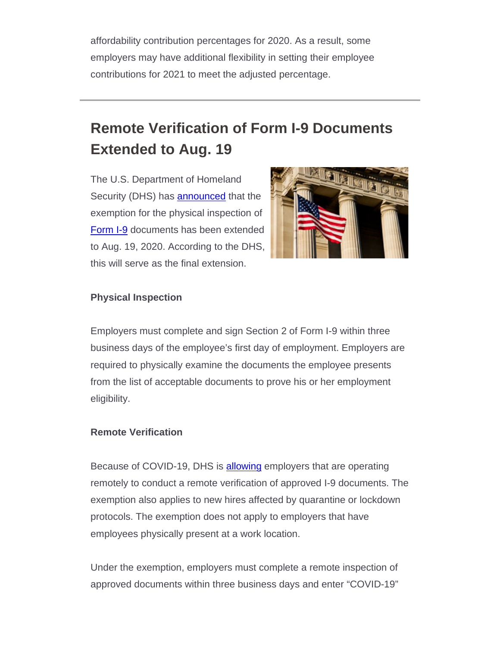affordability contribution percentages for 2020. As a result, some employers may have additional flexibility in setting their employee contributions for 2021 to meet the adjusted percentage.

## **Remote Verification of Form I-9 Documents Extended to Aug. 19**

The U.S. Department of Homeland Security (DHS) has **announced** that the exemption for the physical inspection of [Form I-9](https://www.uscis.gov/sites/default/files/document/forms/i-9-paper-version.pdf) documents has been extended to Aug. 19, 2020. According to the DHS, this will serve as the final extension.



#### **Physical Inspection**

Employers must complete and sign Section 2 of Form I-9 within three business days of the employee's first day of employment. Employers are required to physically examine the documents the employee presents from the list of acceptable documents to prove his or her employment eligibility.

#### **Remote Verification**

Because of COVID-19, DHS is **allowing** employers that are operating remotely to conduct a remote verification of approved I-9 documents. The exemption also applies to new hires affected by quarantine or lockdown protocols. The exemption does not apply to employers that have employees physically present at a work location.

Under the exemption, employers must complete a remote inspection of approved documents within three business days and enter "COVID-19"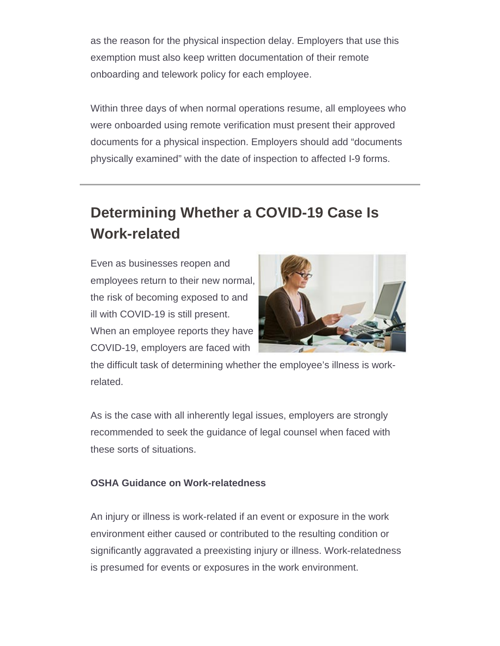as the reason for the physical inspection delay. Employers that use this exemption must also keep written documentation of their remote onboarding and telework policy for each employee.

Within three days of when normal operations resume, all employees who were onboarded using remote verification must present their approved documents for a physical inspection. Employers should add "documents physically examined" with the date of inspection to affected I-9 forms.

## **Determining Whether a COVID-19 Case Is Work-related**

Even as businesses reopen and employees return to their new normal, the risk of becoming exposed to and ill with COVID-19 is still present. When an employee reports they have COVID-19, employers are faced with



the difficult task of determining whether the employee's illness is workrelated.

As is the case with all inherently legal issues, employers are strongly recommended to seek the guidance of legal counsel when faced with these sorts of situations.

### **OSHA Guidance on Work-relatedness**

An injury or illness is work-related if an event or exposure in the work environment either caused or contributed to the resulting condition or significantly aggravated a preexisting injury or illness. Work-relatedness is presumed for events or exposures in the work environment.